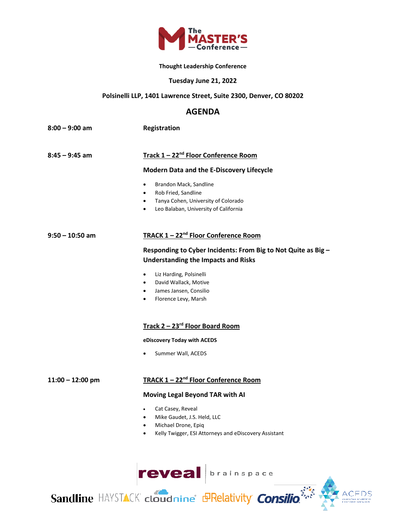

#### **Thought Leadership Conference**

#### **Tuesday June 21, 2022**

#### **Polsinelli LLP, 1401 Lawrence Street, Suite 2300, Denver, CO 80202**

## **AGENDA**

| 8:00 – 9:00 am | Registration |
|----------------|--------------|
|                |              |
|                |              |

### **8:45 – 9:45 am Track 1 – 22nd Floor Conference Room**

#### **Modern Data and the E-Discovery Lifecycle**

- Brandon Mack, Sandline
- Rob Fried, Sandline
- Tanya Cohen, University of Colorado
- Leo Balaban, University of California

#### **9:50 – 10:50 am TRACK 1 – 22nd Floor Conference Room**

# **Responding to Cyber Incidents: From Big to Not Quite as Big – Understanding the Impacts and Risks**

- Liz Harding, Polsinelli
- David Wallack, Motive
- James Jansen, Consilio
- Florence Levy, Marsh

# **Track 2 – 23rd Floor Board Room**

#### **eDiscovery Today with ACEDS**

Summer Wall, ACEDS

#### **11:00 – 12:00 pm TRACK 1 – 22nd Floor Conference Room**

#### **Moving Legal Beyond TAR with AI**

- Cat Casey, Reveal
- Mike Gaudet, J.S. Held, LLC
- Michael Drone, Epiq
- Kelly Twigger, ESI Attorneys and eDiscovery Assistant



Sandline HAYSTACK cloudnine d'Exelativity Consilio

ACEDS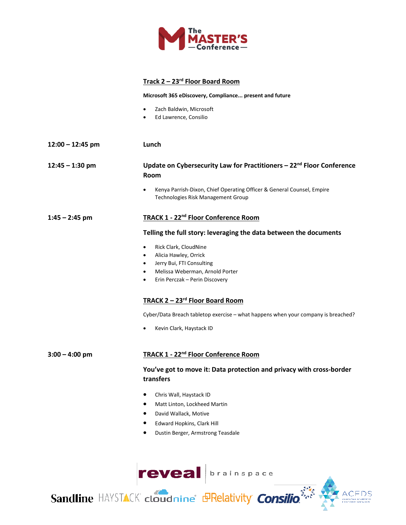

### **Track 2 – 23rd Floor Board Room**

**Microsoft 365 eDiscovery, Compliance... present and future**

- Zach Baldwin, Microsoft
- Ed Lawrence, Consilio
- **12:00 12:45 pm Lunch**

# **12:45 – 1:30 pm Update on Cybersecurity Law for Practitioners – 22nd Floor Conference Room**

• Kenya Parrish-Dixon, Chief Operating Officer & General Counsel, Empire Technologies Risk Management Group

#### **1:45 – 2:45 pm TRACK 1 - 22nd Floor Conference Room**

#### **Telling the full story: leveraging the data between the documents**

- Rick Clark, CloudNine
- Alicia Hawley, Orrick
- Jerry Bui, FTI Consulting
- Melissa Weberman, Arnold Porter
- Erin Perczak Perin Discovery

### **TRACK 2 – 23rd Floor Board Room**

Cyber/Data Breach tabletop exercise – what happens when your company is breached?

• Kevin Clark, Haystack ID

# **3:00 – 4:00 pm TRACK 1 - 22nd Floor Conference Room**

## **You've got to move it: Data protection and privacy with cross-border transfers**

- Chris Wall, Haystack ID
- Matt Linton, Lockheed Martin
- David Wallack, Motive
- Edward Hopkins, Clark Hill
- Dustin Berger, Armstrong Teasdale



Sandline HAYSTACK cloudnine de PRelativity Consilio

ACEDS